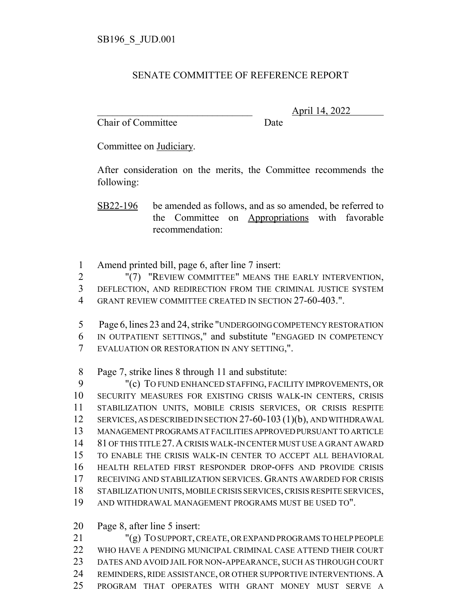## SENATE COMMITTEE OF REFERENCE REPORT

Chair of Committee Date

\_\_\_\_\_\_\_\_\_\_\_\_\_\_\_\_\_\_\_\_\_\_\_\_\_\_\_\_\_\_\_ April 14, 2022

Committee on Judiciary.

After consideration on the merits, the Committee recommends the following:

SB22-196 be amended as follows, and as so amended, be referred to the Committee on Appropriations with favorable recommendation:

Amend printed bill, page 6, after line 7 insert:

 "(7) "REVIEW COMMITTEE" MEANS THE EARLY INTERVENTION, DEFLECTION, AND REDIRECTION FROM THE CRIMINAL JUSTICE SYSTEM

GRANT REVIEW COMMITTEE CREATED IN SECTION 27-60-403.".

5 Page 6, lines 23 and 24, strike "UNDERGOING COMPETENCY RESTORATION IN OUTPATIENT SETTINGS," and substitute "ENGAGED IN COMPETENCY

EVALUATION OR RESTORATION IN ANY SETTING,".

Page 7, strike lines 8 through 11 and substitute:

 "(c) TO FUND ENHANCED STAFFING, FACILITY IMPROVEMENTS, OR SECURITY MEASURES FOR EXISTING CRISIS WALK-IN CENTERS, CRISIS STABILIZATION UNITS, MOBILE CRISIS SERVICES, OR CRISIS RESPITE 12 SERVICES, AS DESCRIBED IN SECTION 27-60-103 (1)(b), AND WITHDRAWAL MANAGEMENT PROGRAMS AT FACILITIES APPROVED PURSUANT TO ARTICLE 81 OF THIS TITLE 27.A CRISIS WALK-IN CENTER MUST USE A GRANT AWARD TO ENABLE THE CRISIS WALK-IN CENTER TO ACCEPT ALL BEHAVIORAL HEALTH RELATED FIRST RESPONDER DROP-OFFS AND PROVIDE CRISIS RECEIVING AND STABILIZATION SERVICES. GRANTS AWARDED FOR CRISIS STABILIZATION UNITS, MOBILE CRISIS SERVICES, CRISIS RESPITE SERVICES, AND WITHDRAWAL MANAGEMENT PROGRAMS MUST BE USED TO".

Page 8, after line 5 insert:

 "(g) TO SUPPORT, CREATE, OR EXPAND PROGRAMS TO HELP PEOPLE WHO HAVE A PENDING MUNICIPAL CRIMINAL CASE ATTEND THEIR COURT DATES AND AVOID JAIL FOR NON-APPEARANCE, SUCH AS THROUGH COURT 24 REMINDERS, RIDE ASSISTANCE, OR OTHER SUPPORTIVE INTERVENTIONS. A PROGRAM THAT OPERATES WITH GRANT MONEY MUST SERVE A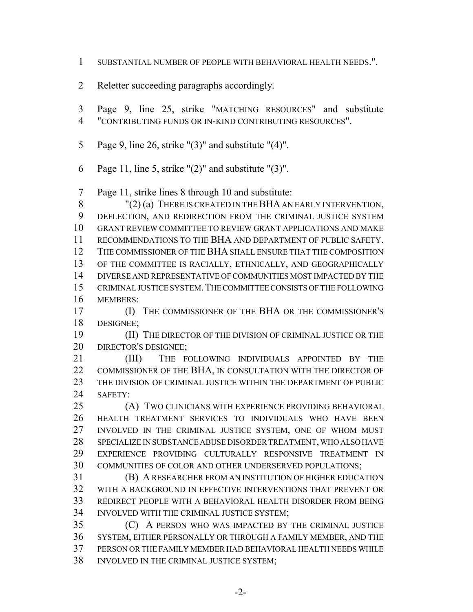- SUBSTANTIAL NUMBER OF PEOPLE WITH BEHAVIORAL HEALTH NEEDS.".
- Reletter succeeding paragraphs accordingly.
- Page 9, line 25, strike "MATCHING RESOURCES" and substitute "CONTRIBUTING FUNDS OR IN-KIND CONTRIBUTING RESOURCES".
- Page 9, line 26, strike "(3)" and substitute "(4)".
- Page 11, line 5, strike "(2)" and substitute "(3)".

Page 11, strike lines 8 through 10 and substitute:

 "(2) (a) THERE IS CREATED IN THE BHA AN EARLY INTERVENTION, DEFLECTION, AND REDIRECTION FROM THE CRIMINAL JUSTICE SYSTEM GRANT REVIEW COMMITTEE TO REVIEW GRANT APPLICATIONS AND MAKE RECOMMENDATIONS TO THE BHA AND DEPARTMENT OF PUBLIC SAFETY. THE COMMISSIONER OF THE BHA SHALL ENSURE THAT THE COMPOSITION OF THE COMMITTEE IS RACIALLY, ETHNICALLY, AND GEOGRAPHICALLY DIVERSE AND REPRESENTATIVE OF COMMUNITIES MOST IMPACTED BY THE CRIMINAL JUSTICE SYSTEM.THE COMMITTEE CONSISTS OF THE FOLLOWING MEMBERS:

 (I) THE COMMISSIONER OF THE BHA OR THE COMMISSIONER'S DESIGNEE;

 (II) THE DIRECTOR OF THE DIVISION OF CRIMINAL JUSTICE OR THE 20 DIRECTOR'S DESIGNEE:

21 (III) THE FOLLOWING INDIVIDUALS APPOINTED BY THE COMMISSIONER OF THE BHA, IN CONSULTATION WITH THE DIRECTOR OF THE DIVISION OF CRIMINAL JUSTICE WITHIN THE DEPARTMENT OF PUBLIC SAFETY:

 (A) TWO CLINICIANS WITH EXPERIENCE PROVIDING BEHAVIORAL HEALTH TREATMENT SERVICES TO INDIVIDUALS WHO HAVE BEEN INVOLVED IN THE CRIMINAL JUSTICE SYSTEM, ONE OF WHOM MUST SPECIALIZE IN SUBSTANCE ABUSE DISORDER TREATMENT, WHO ALSO HAVE EXPERIENCE PROVIDING CULTURALLY RESPONSIVE TREATMENT IN COMMUNITIES OF COLOR AND OTHER UNDERSERVED POPULATIONS;

 (B) A RESEARCHER FROM AN INSTITUTION OF HIGHER EDUCATION WITH A BACKGROUND IN EFFECTIVE INTERVENTIONS THAT PREVENT OR REDIRECT PEOPLE WITH A BEHAVIORAL HEALTH DISORDER FROM BEING INVOLVED WITH THE CRIMINAL JUSTICE SYSTEM;

 (C) A PERSON WHO WAS IMPACTED BY THE CRIMINAL JUSTICE SYSTEM, EITHER PERSONALLY OR THROUGH A FAMILY MEMBER, AND THE PERSON OR THE FAMILY MEMBER HAD BEHAVIORAL HEALTH NEEDS WHILE INVOLVED IN THE CRIMINAL JUSTICE SYSTEM;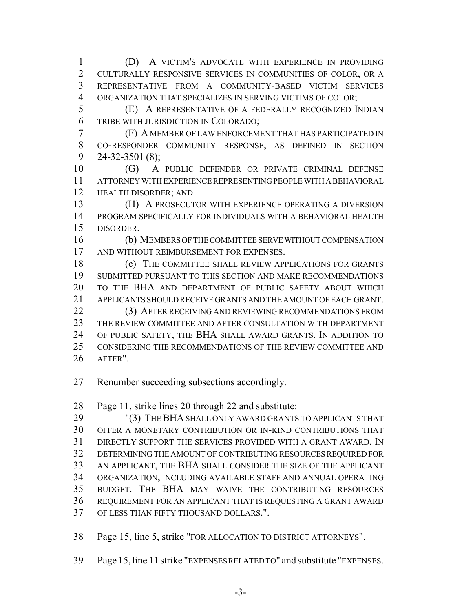(D) A VICTIM'S ADVOCATE WITH EXPERIENCE IN PROVIDING CULTURALLY RESPONSIVE SERVICES IN COMMUNITIES OF COLOR, OR A REPRESENTATIVE FROM A COMMUNITY-BASED VICTIM SERVICES ORGANIZATION THAT SPECIALIZES IN SERVING VICTIMS OF COLOR;

 (E) A REPRESENTATIVE OF A FEDERALLY RECOGNIZED INDIAN TRIBE WITH JURISDICTION IN COLORADO;

- (F) A MEMBER OF LAW ENFORCEMENT THAT HAS PARTICIPATED IN CO-RESPONDER COMMUNITY RESPONSE, AS DEFINED IN SECTION 24-32-3501 (8);
- (G) A PUBLIC DEFENDER OR PRIVATE CRIMINAL DEFENSE ATTORNEY WITH EXPERIENCE REPRESENTING PEOPLE WITH A BEHAVIORAL HEALTH DISORDER; AND

 (H) A PROSECUTOR WITH EXPERIENCE OPERATING A DIVERSION PROGRAM SPECIFICALLY FOR INDIVIDUALS WITH A BEHAVIORAL HEALTH DISORDER.

 (b) MEMBERS OF THE COMMITTEE SERVE WITHOUT COMPENSATION AND WITHOUT REIMBURSEMENT FOR EXPENSES.

18 (c) THE COMMITTEE SHALL REVIEW APPLICATIONS FOR GRANTS SUBMITTED PURSUANT TO THIS SECTION AND MAKE RECOMMENDATIONS TO THE BHA AND DEPARTMENT OF PUBLIC SAFETY ABOUT WHICH APPLICANTS SHOULD RECEIVE GRANTS AND THE AMOUNT OF EACH GRANT.

22 (3) AFTER RECEIVING AND REVIEWING RECOMMENDATIONS FROM THE REVIEW COMMITTEE AND AFTER CONSULTATION WITH DEPARTMENT OF PUBLIC SAFETY, THE BHA SHALL AWARD GRANTS. IN ADDITION TO CONSIDERING THE RECOMMENDATIONS OF THE REVIEW COMMITTEE AND AFTER".

Renumber succeeding subsections accordingly.

Page 11, strike lines 20 through 22 and substitute:

 "(3) THE BHA SHALL ONLY AWARD GRANTS TO APPLICANTS THAT OFFER A MONETARY CONTRIBUTION OR IN-KIND CONTRIBUTIONS THAT DIRECTLY SUPPORT THE SERVICES PROVIDED WITH A GRANT AWARD. IN DETERMINING THE AMOUNT OF CONTRIBUTING RESOURCES REQUIRED FOR AN APPLICANT, THE BHA SHALL CONSIDER THE SIZE OF THE APPLICANT ORGANIZATION, INCLUDING AVAILABLE STAFF AND ANNUAL OPERATING BUDGET. THE BHA MAY WAIVE THE CONTRIBUTING RESOURCES REQUIREMENT FOR AN APPLICANT THAT IS REQUESTING A GRANT AWARD OF LESS THAN FIFTY THOUSAND DOLLARS.".

Page 15, line 5, strike "FOR ALLOCATION TO DISTRICT ATTORNEYS".

Page 15, line 11 strike "EXPENSES RELATED TO" and substitute "EXPENSES.